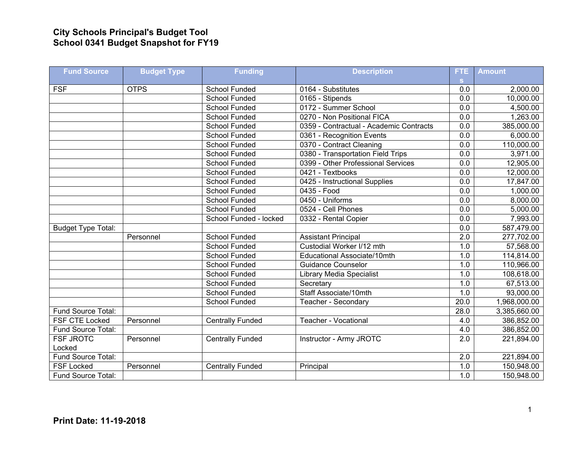## **City Schools Principal's Budget Tool School 0341 Budget Snapshot for FY19**

| <b>Fund Source</b>        | <b>Budget Type</b> | <b>Funding</b>          | <b>Description</b>                      | FTE.             | <b>Amount</b> |
|---------------------------|--------------------|-------------------------|-----------------------------------------|------------------|---------------|
|                           |                    |                         |                                         | S.               |               |
| <b>FSF</b>                | <b>OTPS</b>        | School Funded           | 0164 - Substitutes                      | 0.0              | 2,000.00      |
|                           |                    | <b>School Funded</b>    | 0165 - Stipends                         | 0.0              | 10,000.00     |
|                           |                    | <b>School Funded</b>    | 0172 - Summer School                    | 0.0              | 4,500.00      |
|                           |                    | School Funded           | 0270 - Non Positional FICA              | $\overline{0.0}$ | 1,263.00      |
|                           |                    | School Funded           | 0359 - Contractual - Academic Contracts | $\overline{0.0}$ | 385,000.00    |
|                           |                    | School Funded           | 0361 - Recognition Events               | 0.0              | 6,000.00      |
|                           |                    | <b>School Funded</b>    | 0370 - Contract Cleaning                | 0.0              | 110,000.00    |
|                           |                    | <b>School Funded</b>    | 0380 - Transportation Field Trips       | $\overline{0.0}$ | 3,971.00      |
|                           |                    | <b>School Funded</b>    | 0399 - Other Professional Services      | $\overline{0.0}$ | 12,905.00     |
|                           |                    | School Funded           | 0421 - Textbooks                        | 0.0              | 12,000.00     |
|                           |                    | <b>School Funded</b>    | 0425 - Instructional Supplies           | $\overline{0.0}$ | 17,847.00     |
|                           |                    | <b>School Funded</b>    | $\overline{0435}$ - Food                | 0.0              | 1,000.00      |
|                           |                    | <b>School Funded</b>    | 0450 - Uniforms                         | 0.0              | 8,000.00      |
|                           |                    | <b>School Funded</b>    | 0524 - Cell Phones                      | 0.0              | 5,000.00      |
|                           |                    | School Funded - locked  | 0332 - Rental Copier                    | 0.0              | 7,993.00      |
| <b>Budget Type Total:</b> |                    |                         |                                         | 0.0              | 587,479.00    |
|                           | Personnel          | School Funded           | <b>Assistant Principal</b>              | 2.0              | 277,702.00    |
|                           |                    | School Funded           | Custodial Worker I/12 mth               | 1.0              | 57,568.00     |
|                           |                    | School Funded           | Educational Associate/10mth             | 1.0              | 114,814.00    |
|                           |                    | School Funded           | <b>Guidance Counselor</b>               | 1.0              | 110,966.00    |
|                           |                    | School Funded           | <b>Library Media Specialist</b>         | 1.0              | 108,618.00    |
|                           |                    | <b>School Funded</b>    | Secretary                               | 1.0              | 67,513.00     |
|                           |                    | <b>School Funded</b>    | Staff Associate/10mth                   | 1.0              | 93,000.00     |
|                           |                    | School Funded           | Teacher - Secondary                     | 20.0             | 1,968,000.00  |
| Fund Source Total:        |                    |                         |                                         | 28.0             | 3,385,660.00  |
| <b>FSF CTE Locked</b>     | Personnel          | <b>Centrally Funded</b> | <b>Teacher - Vocational</b>             | 4.0              | 386,852.00    |
| Fund Source Total:        |                    |                         |                                         | 4.0              | 386,852.00    |
| <b>FSF JROTC</b>          | Personnel          | <b>Centrally Funded</b> | Instructor - Army JROTC                 | 2.0              | 221,894.00    |
| Locked                    |                    |                         |                                         |                  |               |
| Fund Source Total:        |                    |                         |                                         | $\overline{2.0}$ | 221,894.00    |
| <b>FSF Locked</b>         | Personnel          | <b>Centrally Funded</b> | Principal                               | 1.0              | 150,948.00    |
| Fund Source Total:        |                    |                         |                                         | 1.0              | 150,948.00    |